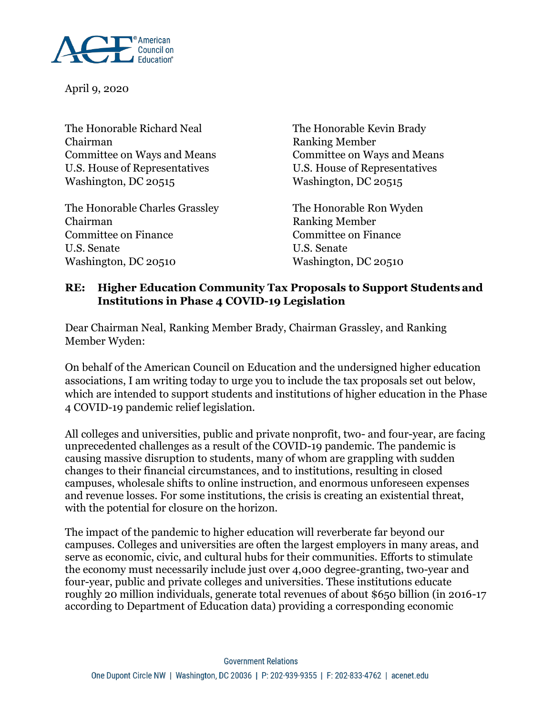

April 9, 2020

The Honorable Richard Neal The Honorable Kevin Brady Chairman Ranking Member Committee on Ways and Means Committee on Ways and Means U.S. House of Representatives U.S. House of Representatives Washington, DC 20515 Washington, DC 20515

The Honorable Charles Grassley The Honorable Ron Wyden Chairman Ranking Member Committee on Finance Committee on Finance U.S. Senate U.S. Senate Washington, DC 20510 Washington, DC 20510

### **RE: Higher Education Community Tax Proposals to Support Students and Institutions in Phase 4 COVID-19 Legislation**

Dear Chairman Neal, Ranking Member Brady, Chairman Grassley, and Ranking Member Wyden:

On behalf of the American Council on Education and the undersigned higher education associations, I am writing today to urge you to include the tax proposals set out below, which are intended to support students and institutions of higher education in the Phase 4 COVID-19 pandemic relief legislation.

All colleges and universities, public and private nonprofit, two- and four-year, are facing unprecedented challenges as a result of the COVID-19 pandemic. The pandemic is causing massive disruption to students, many of whom are grappling with sudden changes to their financial circumstances, and to institutions, resulting in closed campuses, wholesale shifts to online instruction, and enormous unforeseen expenses and revenue losses. For some institutions, the crisis is creating an existential threat, with the potential for closure on the horizon.

The impact of the pandemic to higher education will reverberate far beyond our campuses. Colleges and universities are often the largest employers in many areas, and serve as economic, civic, and cultural hubs for their communities. Efforts to stimulate the economy must necessarily include just over 4,000 degree-granting, two-year and four-year, public and private colleges and universities. These institutions educate roughly 20 million individuals, generate total revenues of about \$650 billion (in 2016-17 according to Department of Education data) providing a corresponding economic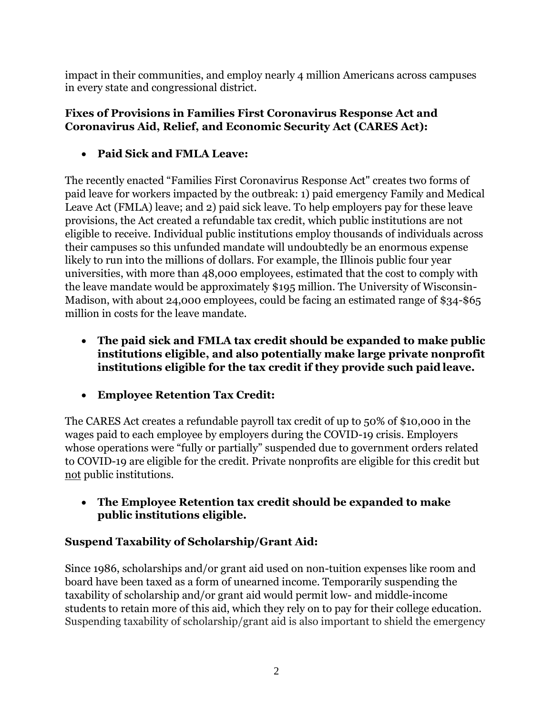impact in their communities, and employ nearly 4 million Americans across campuses in every state and congressional district.

#### **Fixes of Provisions in Families First Coronavirus Response Act and Coronavirus Aid, Relief, and Economic Security Act (CARES Act):**

**Paid Sick and FMLA Leave:**

The recently enacted "Families First Coronavirus Response Act" creates two forms of paid leave for workers impacted by the outbreak: 1) paid emergency Family and Medical Leave Act (FMLA) leave; and 2) paid sick leave. To help employers pay for these leave provisions, the Act created a refundable tax credit, which public institutions are not eligible to receive. Individual public institutions employ thousands of individuals across their campuses so this unfunded mandate will undoubtedly be an enormous expense likely to run into the millions of dollars. For example, the Illinois public four year universities, with more than 48,000 employees, estimated that the cost to comply with the leave mandate would be approximately \$195 million. The University of Wisconsin-Madison, with about 24,000 employees, could be facing an estimated range of \$34-\$65 million in costs for the leave mandate.

- **The paid sick and FMLA tax credit should be expanded to make public institutions eligible, and also potentially make large private nonprofit institutions eligible for the tax credit if they provide such paid leave.**
- **Employee Retention Tax Credit:**

The CARES Act creates a refundable payroll tax credit of up to 50% of \$10,000 in the wages paid to each employee by employers during the COVID-19 crisis. Employers whose operations were "fully or partially" suspended due to government orders related to COVID-19 are eligible for the credit. Private nonprofits are eligible for this credit but not public institutions.

 **The Employee Retention tax credit should be expanded to make public institutions eligible.**

# **Suspend Taxability of Scholarship/Grant Aid:**

Since 1986, scholarships and/or grant aid used on non-tuition expenses like room and board have been taxed as a form of unearned income. Temporarily suspending the taxability of scholarship and/or grant aid would permit low- and middle-income students to retain more of this aid, which they rely on to pay for their college education. Suspending taxability of scholarship/grant aid is also important to shield the emergency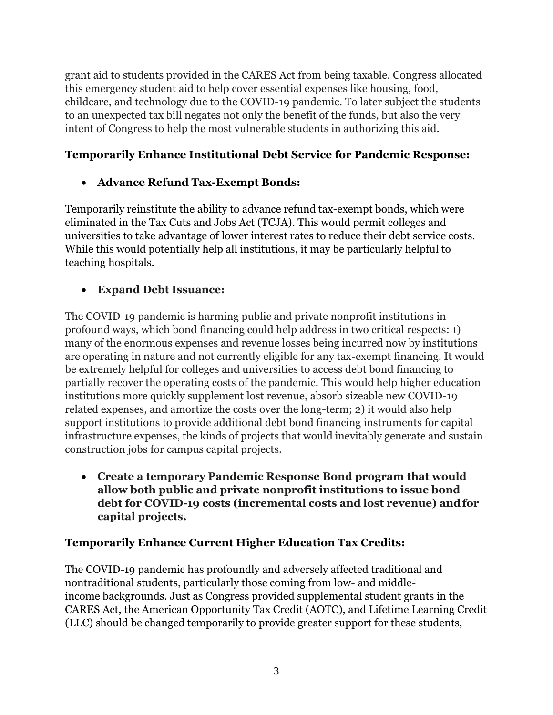grant aid to students provided in the CARES Act from being taxable. Congress allocated this emergency student aid to help cover essential expenses like housing, food, childcare, and technology due to the COVID-19 pandemic. To later subject the students to an unexpected tax bill negates not only the benefit of the funds, but also the very intent of Congress to help the most vulnerable students in authorizing this aid.

## **Temporarily Enhance Institutional Debt Service for Pandemic Response:**

# **Advance Refund Tax-Exempt Bonds:**

Temporarily reinstitute the ability to advance refund tax-exempt bonds, which were eliminated in the Tax Cuts and Jobs Act (TCJA). This would permit colleges and universities to take advantage of lower interest rates to reduce their debt service costs. While this would potentially help all institutions, it may be particularly helpful to teaching hospitals.

### **Expand Debt Issuance:**

The COVID-19 pandemic is harming public and private nonprofit institutions in profound ways, which bond financing could help address in two critical respects: 1) many of the enormous expenses and revenue losses being incurred now by institutions are operating in nature and not currently eligible for any tax-exempt financing. It would be extremely helpful for colleges and universities to access debt bond financing to partially recover the operating costs of the pandemic. This would help higher education institutions more quickly supplement lost revenue, absorb sizeable new COVID-19 related expenses, and amortize the costs over the long-term; 2) it would also help support institutions to provide additional debt bond financing instruments for capital infrastructure expenses, the kinds of projects that would inevitably generate and sustain construction jobs for campus capital projects.

 **Create a temporary Pandemic Response Bond program that would allow both public and private nonprofit institutions to issue bond debt for COVID-19 costs (incremental costs and lost revenue) andfor capital projects.**

### **Temporarily Enhance Current Higher Education Tax Credits:**

The COVID-19 pandemic has profoundly and adversely affected traditional and nontraditional students, particularly those coming from low- and middleincome backgrounds. Just as Congress provided supplemental student grants in the CARES Act, the American Opportunity Tax Credit (AOTC), and Lifetime Learning Credit (LLC) should be changed temporarily to provide greater support for these students,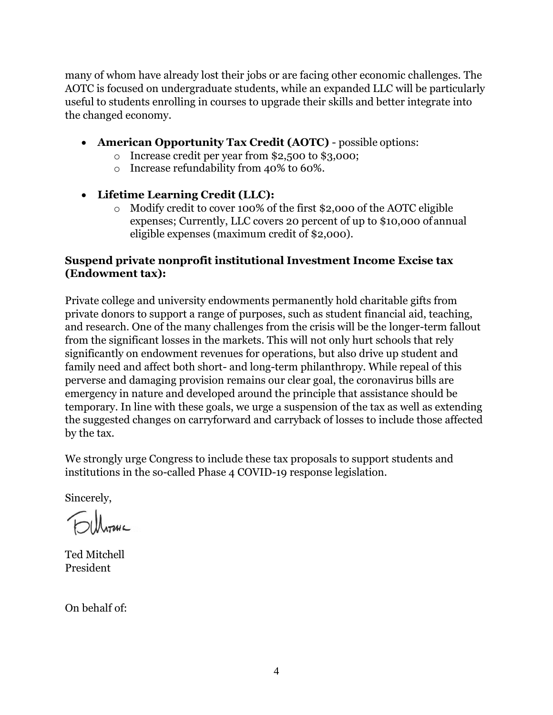many of whom have already lost their jobs or are facing other economic challenges. The AOTC is focused on undergraduate students, while an expanded LLC will be particularly useful to students enrolling in courses to upgrade their skills and better integrate into the changed economy.

- **American Opportunity Tax Credit (AOTC)**  possible options:
	- o Increase credit per year from \$2,500 to \$3,000;
	- o Increase refundability from 40% to 60%.

### **Lifetime Learning Credit (LLC):**

o Modify credit to cover 100% of the first \$2,000 of the AOTC eligible expenses; Currently, LLC covers 20 percent of up to \$10,000 ofannual eligible expenses (maximum credit of \$2,000).

### **Suspend private nonprofit institutional Investment Income Excise tax (Endowment tax):**

Private college and university endowments permanently hold charitable gifts from private donors to support a range of purposes, such as student financial aid, teaching, and research. One of the many challenges from the crisis will be the longer-term fallout from the significant losses in the markets. This will not only hurt schools that rely significantly on endowment revenues for operations, but also drive up student and family need and affect both short- and long-term philanthropy. While repeal of this perverse and damaging provision remains our clear goal, the coronavirus bills are emergency in nature and developed around the principle that assistance should be temporary. In line with these goals, we urge a suspension of the tax as well as extending the suggested changes on carryforward and carryback of losses to include those affected by the tax.

We strongly urge Congress to include these tax proposals to support students and institutions in the so-called Phase 4 COVID-19 response legislation.

Sincerely,

Ted Mitchell President

On behalf of: